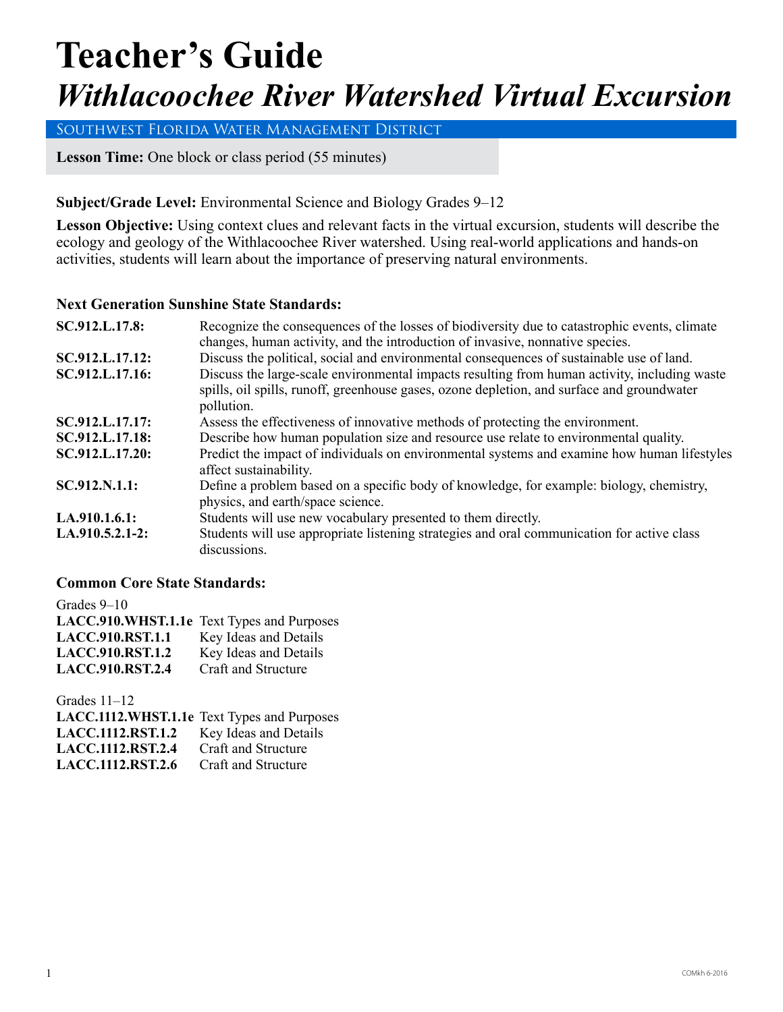# **Teacher's Guide** *Withlacoochee River Watershed Virtual Excursion*

Southwest Florida Water Management District

**Lesson Time:** One block or class period (55 minutes)

#### **Subject/Grade Level:** Environmental Science and Biology Grades 9–12

Lesson Objective: Using context clues and relevant facts in the virtual excursion, students will describe the ecology and geology of the Withlacoochee River watershed. Using real-world applications and hands-on activities, students will learn about the importance of preserving natural environments.

#### **Next Generation Sunshine State Standards:**

| SC.912.L.17.8:  | Recognize the consequences of the losses of biodiversity due to catastrophic events, climate                                                                                                             |  |
|-----------------|----------------------------------------------------------------------------------------------------------------------------------------------------------------------------------------------------------|--|
|                 | changes, human activity, and the introduction of invasive, nonnative species.                                                                                                                            |  |
| SC.912.L.17.12: | Discuss the political, social and environmental consequences of sustainable use of land.                                                                                                                 |  |
| SC.912.L.17.16: | Discuss the large-scale environmental impacts resulting from human activity, including waste<br>spills, oil spills, runoff, greenhouse gases, ozone depletion, and surface and groundwater<br>pollution. |  |
| SC.912.L.17.17: | Assess the effectiveness of innovative methods of protecting the environment.                                                                                                                            |  |
| SC.912.L.17.18: | Describe how human population size and resource use relate to environmental quality.                                                                                                                     |  |
| SC.912.L.17.20: | Predict the impact of individuals on environmental systems and examine how human lifestyles<br>affect sustainability.                                                                                    |  |
| SC.912.N.1.1:   | Define a problem based on a specific body of knowledge, for example: biology, chemistry,<br>physics, and earth/space science.                                                                            |  |
| LA.910.1.6.1:   | Students will use new vocabulary presented to them directly.                                                                                                                                             |  |
| LA.910.5.2.1-2: | Students will use appropriate listening strategies and oral communication for active class<br>discussions.                                                                                               |  |

#### **Common Core State Standards:**

Grades 9–10 **LACC.910.WHST.1.1e** Text Types and Purposes LACC.910.RST.1.1 Key Ideas and Details<br>LACC.910.RST.1.2 Key Ideas and Details **Key Ideas and Details LACC.910.RST.2.4** Craft and Structure

Grades 11–12

|                           | LACC.1112.WHST.1.1e Text Types and Purposes |
|---------------------------|---------------------------------------------|
| <b>LACC.1112.RST.1.2</b>  | Key Ideas and Details                       |
| <b>LACC.1112.RST.2.4</b>  | Craft and Structure                         |
| <b>LACC.1112, RST.2.6</b> | Craft and Structure                         |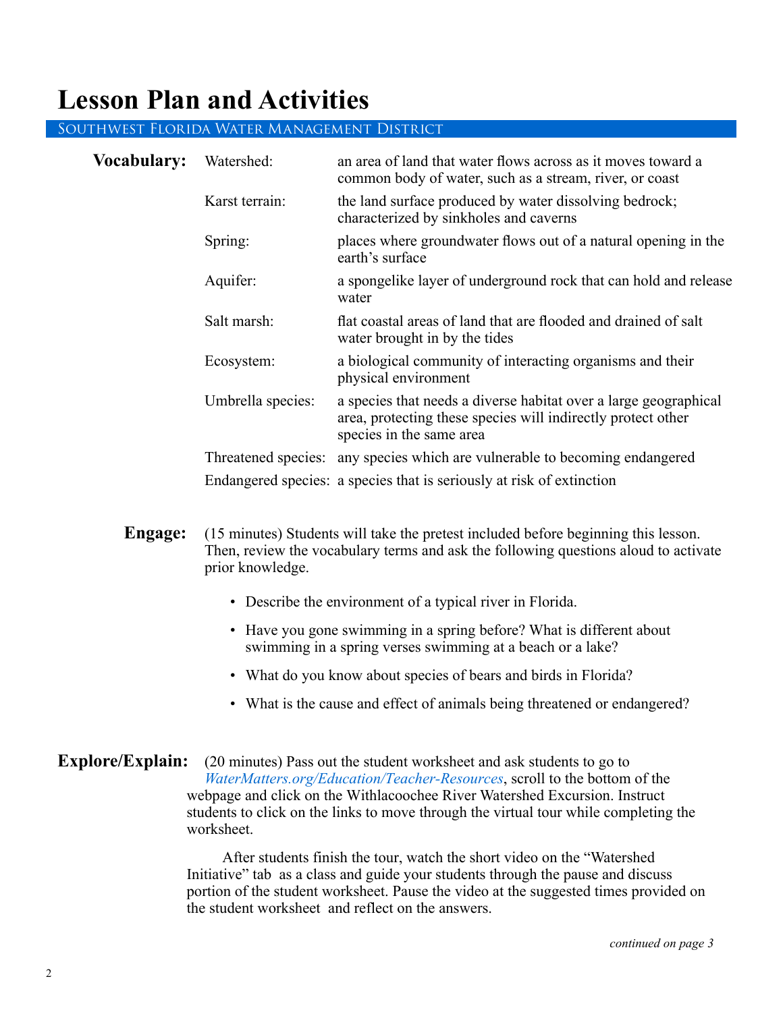### **Lesson Plan and Activities**

#### Southwest Florida Water Management District

| <b>Vocabulary:</b> | Watershed:        | an area of land that water flows across as it moves toward a<br>common body of water, such as a stream, river, or coast                                      |
|--------------------|-------------------|--------------------------------------------------------------------------------------------------------------------------------------------------------------|
|                    | Karst terrain:    | the land surface produced by water dissolving bedrock;<br>characterized by sinkholes and caverns                                                             |
|                    | Spring:           | places where groundwater flows out of a natural opening in the<br>earth's surface                                                                            |
|                    | Aquifer:          | a spongelike layer of underground rock that can hold and release<br>water                                                                                    |
|                    | Salt marsh:       | flat coastal areas of land that are flooded and drained of salt<br>water brought in by the tides                                                             |
|                    | Ecosystem:        | a biological community of interacting organisms and their<br>physical environment                                                                            |
|                    | Umbrella species: | a species that needs a diverse habitat over a large geographical<br>area, protecting these species will indirectly protect other<br>species in the same area |
|                    |                   | Threatened species: any species which are vulnerable to becoming endangered                                                                                  |
|                    |                   | Endangered species: a species that is seriously at risk of extinction                                                                                        |
|                    |                   |                                                                                                                                                              |

- **Engage:** (15 minutes) Students will take the pretest included before beginning this lesson. Then, review the vocabulary terms and ask the following questions aloud to activate prior knowledge.
	- Describe the environment of a typical river in Florida.
	- Have you gone swimming in a spring before? What is different about swimming in a spring verses swimming at a beach or a lake?
	- What do you know about species of bears and birds in Florida?
	- What is the cause and effect of animals being threatened or endangered?
- **Explore/Explain:** (20 minutes) Pass out the student worksheet and ask students to go to *WaterMatters.org/[Education/Teacher-Resources](https://www.swfwmd.state.fl.us/residents/education/teacher-resources)*, scroll to the bottom of the webpage and click on the Withlacoochee River Watershed Excursion. Instruct students to click on the links to move through the virtual tour while completing the worksheet.

After students finish the tour, watch the short video on the "Watershed Initiative" tab as a class and guide your students through the pause and discuss portion of the student worksheet. Pause the video at the suggested times provided on the student worksheet and reflect on the answers.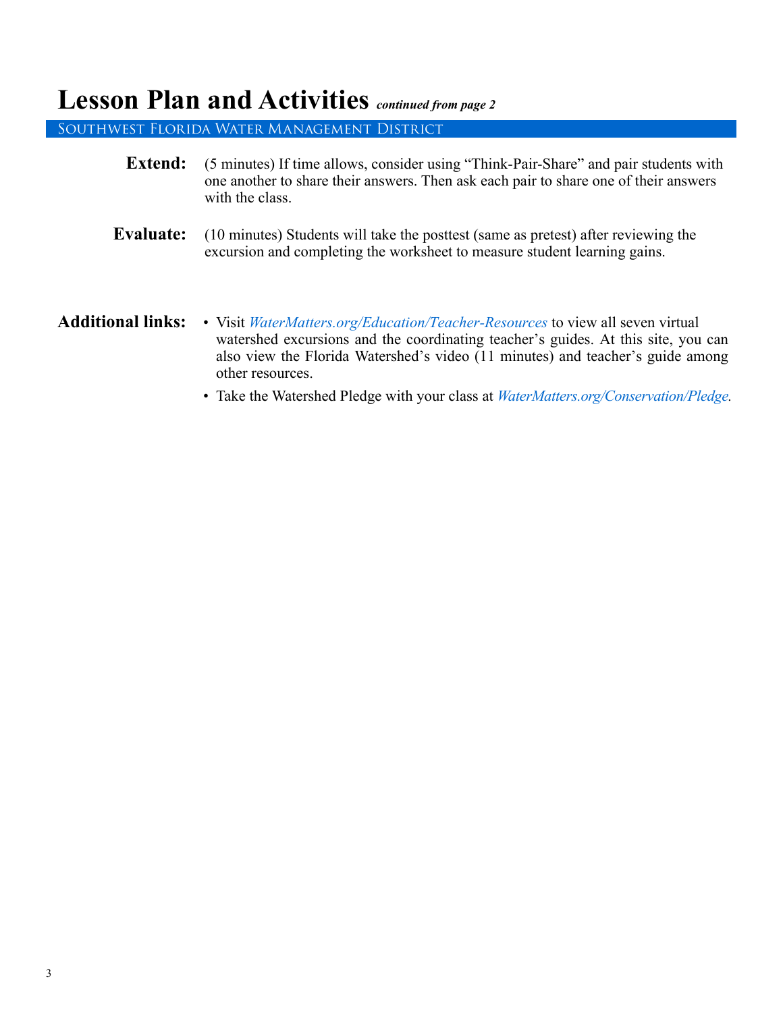#### **Lesson Plan and Activities** *continued from page 2*

Southwest Florida Water Management District

- **Extend:** (5 minutes) If time allows, consider using "Think-Pair-Share" and pair students with one another to share their answers. Then ask each pair to share one of their answers with the class.
- **Evaluate:** (10 minutes) Students will take the posttest (same as pretest) after reviewing the excursion and completing the worksheet to measure student learning gains.
- **Additional links:**  Visit *[WaterMatters.org/Education/](https://www.swfwmd.state.fl.us/residents/education/teacher-resources)Teacher-Resources* to view all seven virtual watershed excursions and the coordinating teacher's guides. At this site, you can also view the Florida Watershed's video (11 minutes) and teacher's guide among other resources.
	- Take the Watershed Pledge with your class at *[WaterMatters.org/Conservation/Pledge.](https://www.swfwmd.state.fl.us/education/classroom-challenge)*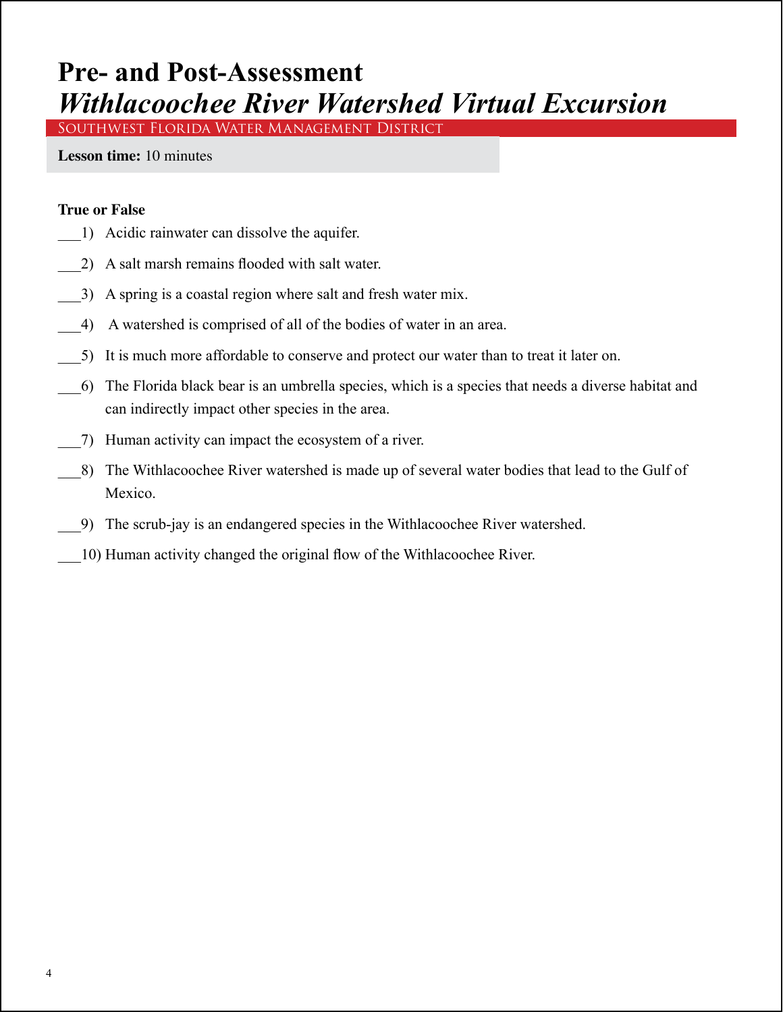### **Pre- and Post-Assessment** *Withlacoochee River Watershed Virtual Excursion*

Southwest Florida Water Management District

**Lesson time:** 10 minutes

#### **True or False**

- \_\_\_1) Acidic rainwater can dissolve the aquifer.
- \_\_\_2) A salt marsh remains flooded with salt water.
- \_\_\_3) A spring is a coastal region where salt and fresh water mix.
- \_\_\_4) A watershed is comprised of all of the bodies of water in an area.
- \_\_\_5) It is much more affordable to conserve and protect our water than to treat it later on.
- \_\_\_6) The Florida black bear is an umbrella species, which is a species that needs a diverse habitat and can indirectly impact other species in the area.
- \_\_\_7) Human activity can impact the ecosystem of a river.
- \_\_\_8) The Withlacoochee River watershed is made up of several water bodies that lead to the Gulf of Mexico.
- \_\_\_9) The scrub-jay is an endangered species in the Withlacoochee River watershed.
- \_\_\_10) Human activity changed the original flow of the Withlacoochee River.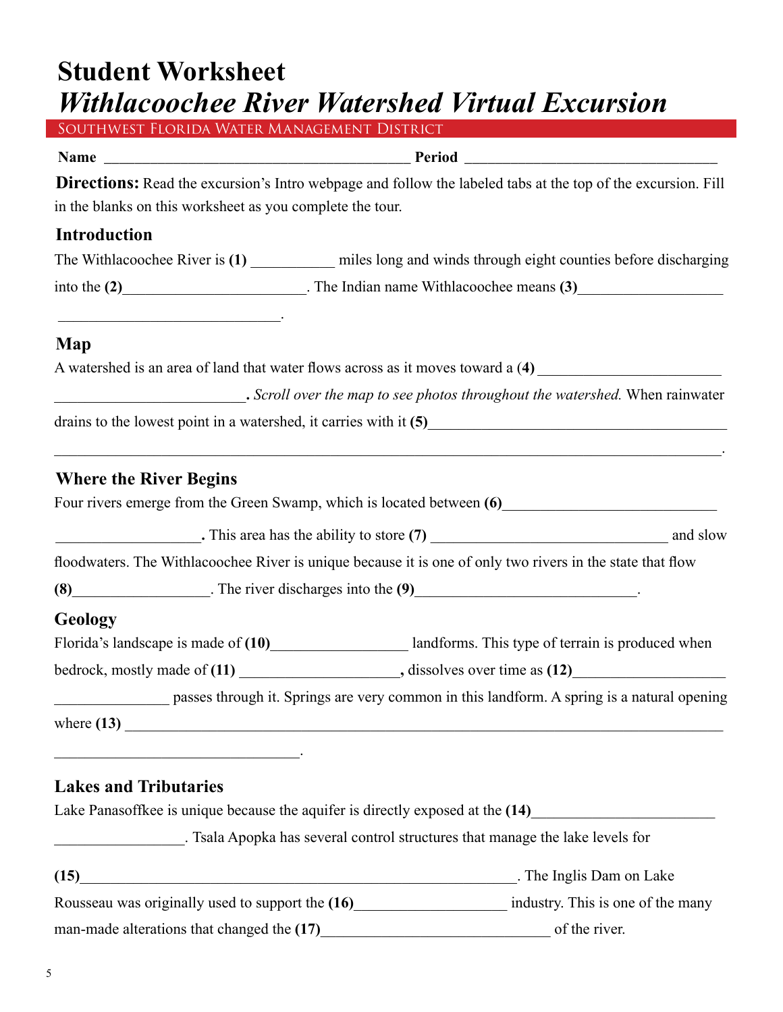# **Student Worksheet**  *Withlacoochee River Watershed Virtual Excursion*

| SOUTHWEST FLORIDA WATER MANAGEMENT DISTRICT                                                                                                           |  |  |
|-------------------------------------------------------------------------------------------------------------------------------------------------------|--|--|
|                                                                                                                                                       |  |  |
| Directions: Read the excursion's Intro webpage and follow the labeled tabs at the top of the excursion. Fill                                          |  |  |
| in the blanks on this worksheet as you complete the tour.                                                                                             |  |  |
| <b>Introduction</b>                                                                                                                                   |  |  |
| The Withlacoochee River is (1) _________ miles long and winds through eight counties before discharging                                               |  |  |
| into the (2) The Indian name Withlacoochee means (3)                                                                                                  |  |  |
| <u> 2000 - Jan James James James James James James James James James James James James James James James James J</u>                                  |  |  |
| Map                                                                                                                                                   |  |  |
| A watershed is an area of land that water flows across as it moves toward a (4)                                                                       |  |  |
| Scroll over the map to see photos throughout the watershed. When rainwater                                                                            |  |  |
| drains to the lowest point in a watershed, it carries with it (5)                                                                                     |  |  |
| <b>Where the River Begins</b>                                                                                                                         |  |  |
| Four rivers emerge from the Green Swamp, which is located between (6)<br><u>Four</u> rivers emerge from the Green Swamp, which is located between (6) |  |  |
|                                                                                                                                                       |  |  |
| floodwaters. The Withlacoochee River is unique because it is one of only two rivers in the state that flow                                            |  |  |
| $(8)$ The river discharges into the $(9)$                                                                                                             |  |  |
| <b>Geology</b>                                                                                                                                        |  |  |
| Florida's landscape is made of (10) landforms. This type of terrain is produced when                                                                  |  |  |
|                                                                                                                                                       |  |  |
| passes through it. Springs are very common in this landform. A spring is a natural opening                                                            |  |  |
| where $(13)$ $\qquad$                                                                                                                                 |  |  |
| <u> 1989 - Johann Barn, amerikansk politiker (</u>                                                                                                    |  |  |
| <b>Lakes and Tributaries</b>                                                                                                                          |  |  |
| Lake Panasoffkee is unique because the aquifer is directly exposed at the (14)                                                                        |  |  |
| . Tsala Apopka has several control structures that manage the lake levels for                                                                         |  |  |
| The Inglis Dam on Lake<br>(15)                                                                                                                        |  |  |

Rousseau was originally used to support the **(16)**\_\_\_\_\_\_\_\_\_\_\_\_\_\_\_\_\_\_\_\_ industry. This is one of the many

man-made alterations that changed the **(17)**\_\_\_\_\_\_\_\_\_\_\_\_\_\_\_\_\_\_\_\_\_\_\_\_\_\_\_\_\_\_ of the river.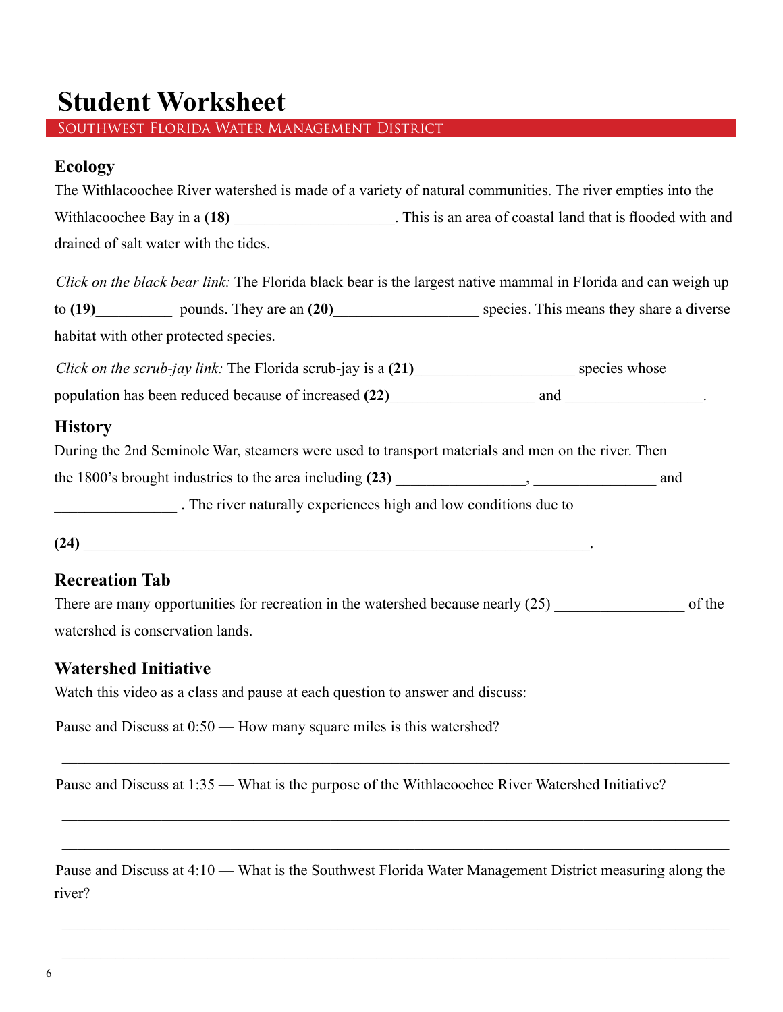### **Student Worksheet**

Southwest Florida Water Management District

#### **Ecology**

|                                                                                                              | The Withlacoochee River watershed is made of a variety of natural communities. The river empties into the     |  |
|--------------------------------------------------------------------------------------------------------------|---------------------------------------------------------------------------------------------------------------|--|
| Withlacoochee Bay in a (18) ______________________. This is an area of coastal land that is flooded with and |                                                                                                               |  |
| drained of salt water with the tides.                                                                        |                                                                                                               |  |
|                                                                                                              | Click on the black bear link: The Florida black bear is the largest native mammal in Florida and can weigh up |  |
|                                                                                                              | to (19) pounds. They are an (20) species. This means they share a diverse                                     |  |
| habitat with other protected species.                                                                        |                                                                                                               |  |
|                                                                                                              |                                                                                                               |  |
|                                                                                                              |                                                                                                               |  |
| <b>History</b>                                                                                               |                                                                                                               |  |
|                                                                                                              | During the 2nd Seminole War, steamers were used to transport materials and men on the river. Then             |  |
|                                                                                                              |                                                                                                               |  |
| The river naturally experiences high and low conditions due to                                               |                                                                                                               |  |
|                                                                                                              |                                                                                                               |  |
| <b>Recreation Tab</b>                                                                                        |                                                                                                               |  |
| There are many opportunities for recreation in the watershed because nearly (25)                             | of the                                                                                                        |  |

watershed is conservation lands.

#### **Watershed Initiative**

Watch this video as a class and pause at each question to answer and discuss:

Pause and Discuss at  $0:50$  — How many square miles is this watershed?

Pause and Discuss at 1:35 — What is the purpose of the Withlacoochee River Watershed Initiative?

Pause and Discuss at 4:10 — What is the Southwest Florida Water Management District measuring along the river?

\_\_\_\_\_\_\_\_\_\_\_\_\_\_\_\_\_\_\_\_\_\_\_\_\_\_\_\_\_\_\_\_\_\_\_\_\_\_\_\_\_\_\_\_\_\_\_\_\_\_\_\_\_\_\_\_\_\_\_\_\_\_\_\_\_\_\_\_\_\_\_\_\_\_\_\_\_\_\_\_\_\_\_\_\_\_\_

\_\_\_\_\_\_\_\_\_\_\_\_\_\_\_\_\_\_\_\_\_\_\_\_\_\_\_\_\_\_\_\_\_\_\_\_\_\_\_\_\_\_\_\_\_\_\_\_\_\_\_\_\_\_\_\_\_\_\_\_\_\_\_\_\_\_\_\_\_\_\_\_\_\_\_\_\_\_\_\_\_\_\_\_\_\_\_

\_\_\_\_\_\_\_\_\_\_\_\_\_\_\_\_\_\_\_\_\_\_\_\_\_\_\_\_\_\_\_\_\_\_\_\_\_\_\_\_\_\_\_\_\_\_\_\_\_\_\_\_\_\_\_\_\_\_\_\_\_\_\_\_\_\_\_\_\_\_\_\_\_\_\_\_\_\_\_\_\_\_\_\_\_\_\_

\_\_\_\_\_\_\_\_\_\_\_\_\_\_\_\_\_\_\_\_\_\_\_\_\_\_\_\_\_\_\_\_\_\_\_\_\_\_\_\_\_\_\_\_\_\_\_\_\_\_\_\_\_\_\_\_\_\_\_\_\_\_\_\_\_\_\_\_\_\_\_\_\_\_\_\_\_\_\_\_\_\_\_\_\_\_\_

\_\_\_\_\_\_\_\_\_\_\_\_\_\_\_\_\_\_\_\_\_\_\_\_\_\_\_\_\_\_\_\_\_\_\_\_\_\_\_\_\_\_\_\_\_\_\_\_\_\_\_\_\_\_\_\_\_\_\_\_\_\_\_\_\_\_\_\_\_\_\_\_\_\_\_\_\_\_\_\_\_\_\_\_\_\_\_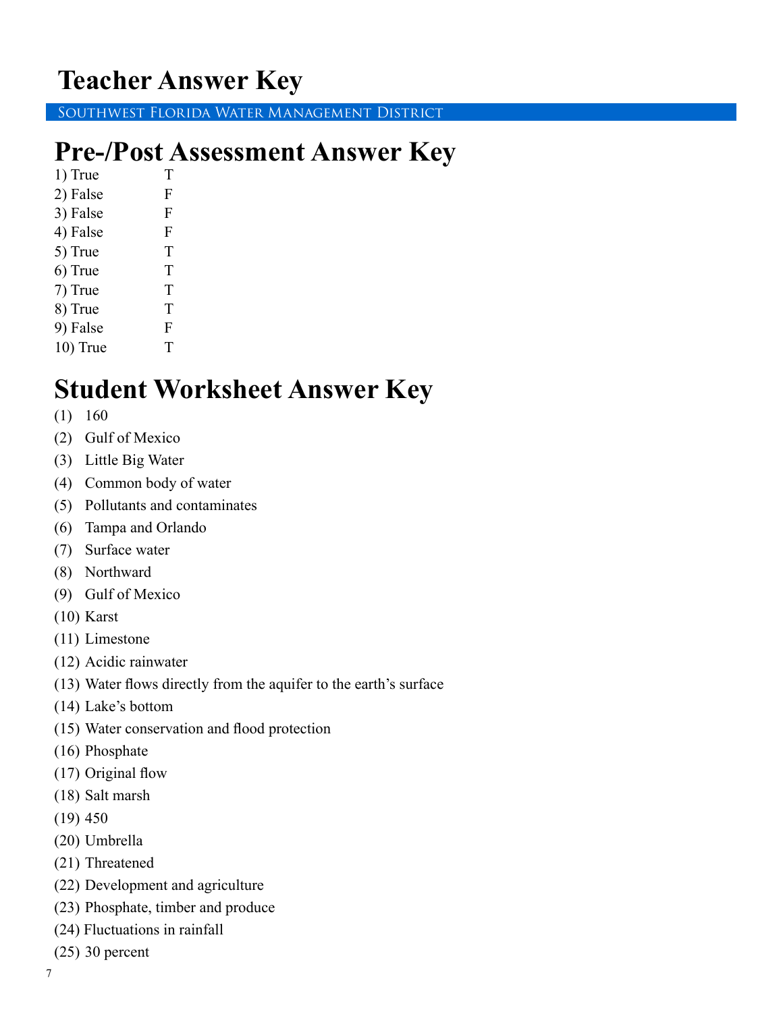### **Teacher Answer Key**

Southwest Florida Water Management District

### **Pre-/Post Assessment Answer Key**

1) True T 2) False F 3) False F 4) False F 5) True T 6) True T 7) True T 8) True T 9) False F

#### 10) True T

### **Student Worksheet Answer Key**

- (1) 160
- (2) Gulf of Mexico
- (3) Little Big Water
- (4) Common body of water
- (5) Pollutants and contaminates
- (6) Tampa and Orlando
- (7) Surface water
- (8) Northward
- (9) Gulf of Mexico
- (10) Karst
- (11) Limestone
- (12) Acidic rainwater
- (13) Water flows directly from the aquifer to the earth's surface
- (14) Lake's bottom
- (15) Water conservation and flood protection
- (16) Phosphate
- (17) Original flow
- (18) Salt marsh
- (19) 450
- (20) Umbrella
- (21) Threatened
- (22) Development and agriculture
- (23) Phosphate, timber and produce
- (24) Fluctuations in rainfall
- (25) 30 percent